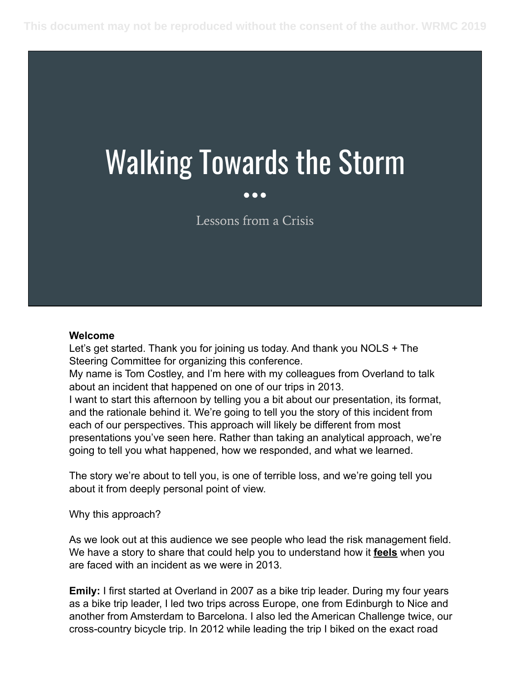# Walking Towards the Storm

#### Lessons from a Crisis

#### **Welcome**

Let's get started. Thank you for joining us today. And thank you NOLS + The Steering Committee for organizing this conference.

My name is Tom Costley, and I'm here with my colleagues from Overland to talk about an incident that happened on one of our trips in 2013.

I want to start this afternoon by telling you a bit about our presentation, its format, and the rationale behind it. We're going to tell you the story of this incident from each of our perspectives. This approach will likely be different from most presentations you've seen here. Rather than taking an analytical approach, we're going to tell you what happened, how we responded, and what we learned.

The story we're about to tell you, is one of terrible loss, and we're going tell you about it from deeply personal point of view.

Why this approach?

As we look out at this audience we see people who lead the risk management field. We have a story to share that could help you to understand how it **feels** when you are faced with an incident as we were in 2013.

**Emily:** I first started at Overland in 2007 as a bike trip leader. During my four years as a bike trip leader, I led two trips across Europe, one from Edinburgh to Nice and another from Amsterdam to Barcelona. I also led the American Challenge twice, our cross-country bicycle trip. In 2012 while leading the trip I biked on the exact road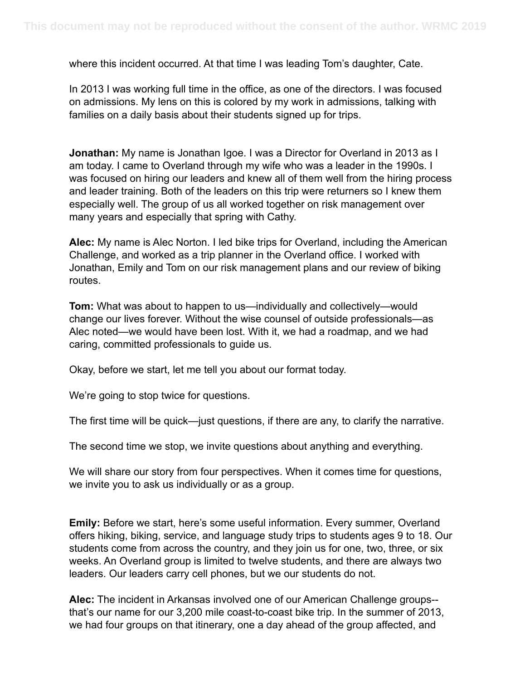where this incident occurred. At that time I was leading Tom's daughter, Cate.

In 2013 I was working full time in the office, as one of the directors. I was focused on admissions. My lens on this is colored by my work in admissions, talking with families on a daily basis about their students signed up for trips.

**Jonathan:** My name is Jonathan Igoe. I was a Director for Overland in 2013 as I am today. I came to Overland through my wife who was a leader in the 1990s. I was focused on hiring our leaders and knew all of them well from the hiring process and leader training. Both of the leaders on this trip were returners so I knew them especially well. The group of us all worked together on risk management over many years and especially that spring with Cathy.

**Alec:** My name is Alec Norton. I led bike trips for Overland, including the American Challenge, and worked as a trip planner in the Overland office. I worked with Jonathan, Emily and Tom on our risk management plans and our review of biking routes.

**Tom:** What was about to happen to us—individually and collectively—would change our lives forever. Without the wise counsel of outside professionals—as Alec noted—we would have been lost. With it, we had a roadmap, and we had caring, committed professionals to guide us.

Okay, before we start, let me tell you about our format today.

We're going to stop twice for questions.

The first time will be quick—just questions, if there are any, to clarify the narrative.

The second time we stop, we invite questions about anything and everything.

We will share our story from four perspectives. When it comes time for questions, we invite you to ask us individually or as a group.

**Emily:** Before we start, here's some useful information. Every summer, Overland offers hiking, biking, service, and language study trips to students ages 9 to 18. Our students come from across the country, and they join us for one, two, three, or six weeks. An Overland group is limited to twelve students, and there are always two leaders. Our leaders carry cell phones, but we our students do not.

**Alec:** The incident in Arkansas involved one of our American Challenge groups- that's our name for our 3,200 mile coast-to-coast bike trip. In the summer of 2013, we had four groups on that itinerary, one a day ahead of the group affected, and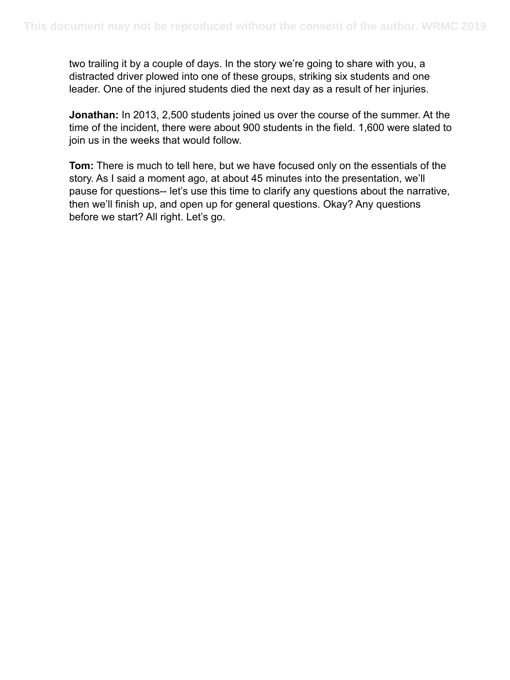two trailing it by a couple of days. In the story we're going to share with you, a distracted driver plowed into one of these groups, striking six students and one leader. One of the injured students died the next day as a result of her injuries.

**Jonathan:** In 2013, 2,500 students joined us over the course of the summer. At the time of the incident, there were about 900 students in the field. 1,600 were slated to join us in the weeks that would follow.

**Tom:** There is much to tell here, but we have focused only on the essentials of the story. As I said a moment ago, at about 45 minutes into the presentation, we'll pause for questions-- let's use this time to clarify any questions about the narrative, then we'll finish up, and open up for general questions. Okay? Any questions before we start? All right. Let's go.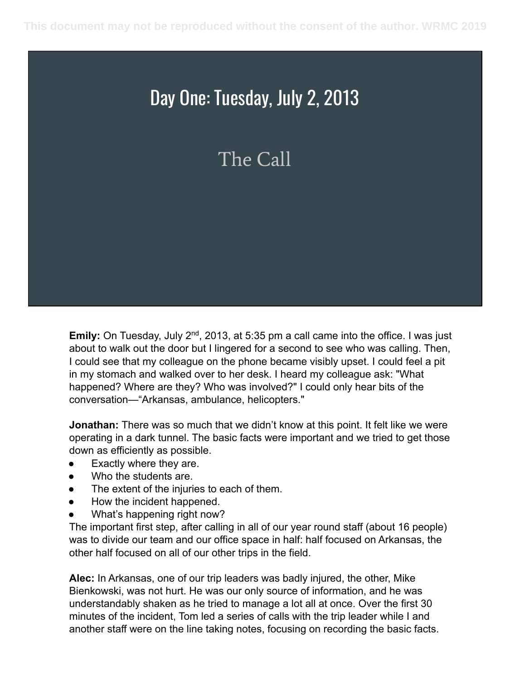#### Day One: Tuesday, July 2, 2013

#### The Call

**Emily:** On Tuesday, July 2<sup>nd</sup>, 2013, at 5:35 pm a call came into the office. I was just about to walk out the door but I lingered for a second to see who was calling. Then, I could see that my colleague on the phone became visibly upset. I could feel a pit in my stomach and walked over to her desk. I heard my colleague ask: "What happened? Where are they? Who was involved?" I could only hear bits of the conversation—"Arkansas, ambulance, helicopters."

**Jonathan:** There was so much that we didn't know at this point. It felt like we were operating in a dark tunnel. The basic facts were important and we tried to get those down as efficiently as possible.

- Exactly where they are.
- Who the students are.
- The extent of the injuries to each of them.
- How the incident happened.
- What's happening right now?

The important first step, after calling in all of our year round staff (about 16 people) was to divide our team and our office space in half: half focused on Arkansas, the other half focused on all of our other trips in the field.

**Alec:** In Arkansas, one of our trip leaders was badly injured, the other, Mike Bienkowski, was not hurt. He was our only source of information, and he was understandably shaken as he tried to manage a lot all at once. Over the first 30 minutes of the incident, Tom led a series of calls with the trip leader while I and another staff were on the line taking notes, focusing on recording the basic facts.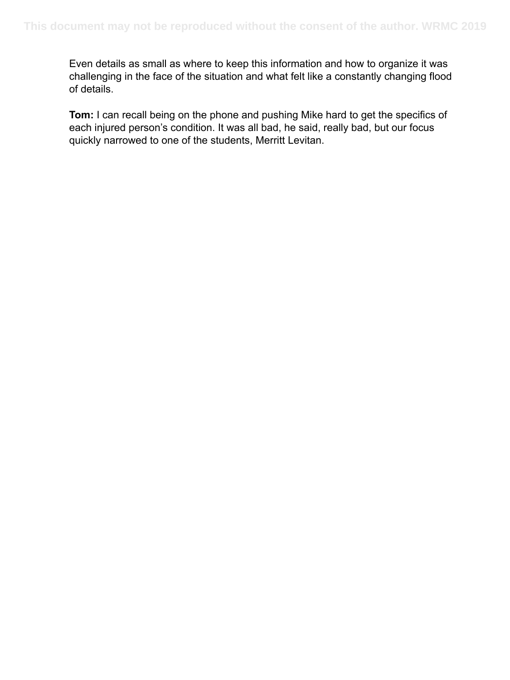Even details as small as where to keep this information and how to organize it was challenging in the face of the situation and what felt like a constantly changing flood of details.

**Tom:** I can recall being on the phone and pushing Mike hard to get the specifics of each injured person's condition. It was all bad, he said, really bad, but our focus quickly narrowed to one of the students, Merritt Levitan.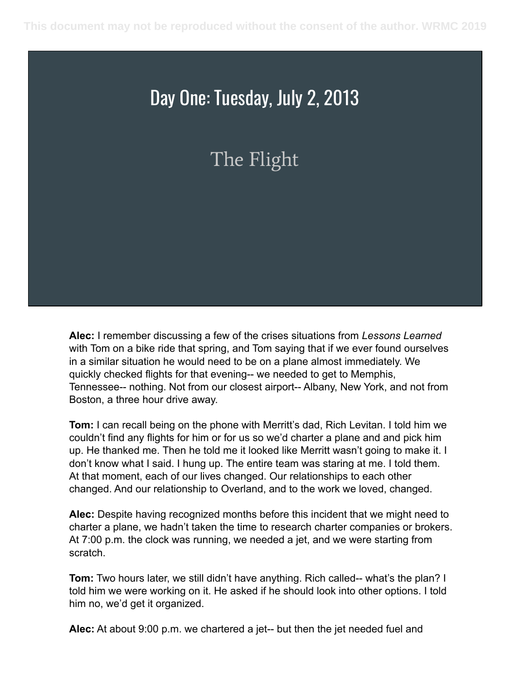#### Day One: Tuesday, July 2, 2013

The Flight

**Alec:** I remember discussing a few of the crises situations from *Lessons Learned*  with Tom on a bike ride that spring, and Tom saying that if we ever found ourselves in a similar situation he would need to be on a plane almost immediately. We quickly checked flights for that evening-- we needed to get to Memphis, Tennessee-- nothing. Not from our closest airport-- Albany, New York, and not from Boston, a three hour drive away.

**Tom:** I can recall being on the phone with Merritt's dad, Rich Levitan. I told him we couldn't find any flights for him or for us so we'd charter a plane and and pick him up. He thanked me. Then he told me it looked like Merritt wasn't going to make it. I don't know what I said. I hung up. The entire team was staring at me. I told them. At that moment, each of our lives changed. Our relationships to each other changed. And our relationship to Overland, and to the work we loved, changed.

**Alec:** Despite having recognized months before this incident that we might need to charter a plane, we hadn't taken the time to research charter companies or brokers. At 7:00 p.m. the clock was running, we needed a jet, and we were starting from scratch.

**Tom:** Two hours later, we still didn't have anything. Rich called-- what's the plan? I told him we were working on it. He asked if he should look into other options. I told him no, we'd get it organized.

**Alec:** At about 9:00 p.m. we chartered a jet-- but then the jet needed fuel and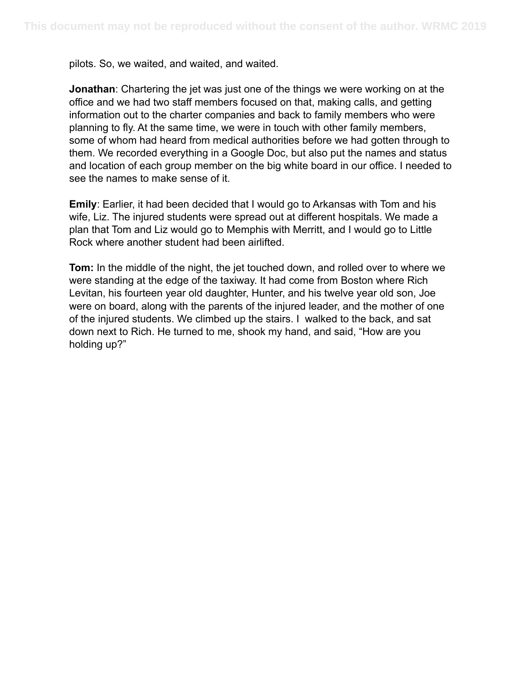pilots. So, we waited, and waited, and waited.

**Jonathan**: Chartering the jet was just one of the things we were working on at the office and we had two staff members focused on that, making calls, and getting information out to the charter companies and back to family members who were planning to fly. At the same time, we were in touch with other family members, some of whom had heard from medical authorities before we had gotten through to them. We recorded everything in a Google Doc, but also put the names and status and location of each group member on the big white board in our office. I needed to see the names to make sense of it.

**Emily**: Earlier, it had been decided that I would go to Arkansas with Tom and his wife, Liz. The injured students were spread out at different hospitals. We made a plan that Tom and Liz would go to Memphis with Merritt, and I would go to Little Rock where another student had been airlifted.

**Tom:** In the middle of the night, the jet touched down, and rolled over to where we were standing at the edge of the taxiway. It had come from Boston where Rich Levitan, his fourteen year old daughter, Hunter, and his twelve year old son, Joe were on board, along with the parents of the injured leader, and the mother of one of the injured students. We climbed up the stairs. I walked to the back, and sat down next to Rich. He turned to me, shook my hand, and said, "How are you holding up?"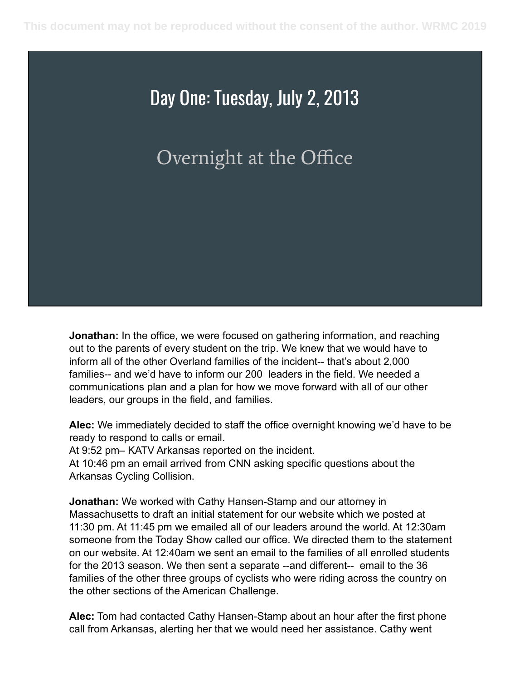#### Day One: Tuesday, July 2, 2013

#### Overnight at the Office

**Jonathan:** In the office, we were focused on gathering information, and reaching out to the parents of every student on the trip. We knew that we would have to inform all of the other Overland families of the incident-- that's about 2,000 families-- and we'd have to inform our 200 leaders in the field. We needed a communications plan and a plan for how we move forward with all of our other leaders, our groups in the field, and families.

**Alec:** We immediately decided to staff the office overnight knowing we'd have to be ready to respond to calls or email.

At 9:52 pm– KATV Arkansas reported on the incident.

At 10:46 pm an email arrived from CNN asking specific questions about the Arkansas Cycling Collision.

**Jonathan:** We worked with Cathy Hansen-Stamp and our attorney in Massachusetts to draft an initial statement for our website which we posted at 11:30 pm. At 11:45 pm we emailed all of our leaders around the world. At 12:30am someone from the Today Show called our office. We directed them to the statement on our website. At 12:40am we sent an email to the families of all enrolled students for the 2013 season. We then sent a separate --and different-- email to the 36 families of the other three groups of cyclists who were riding across the country on the other sections of the American Challenge.

**Alec:** Tom had contacted Cathy Hansen-Stamp about an hour after the first phone call from Arkansas, alerting her that we would need her assistance. Cathy went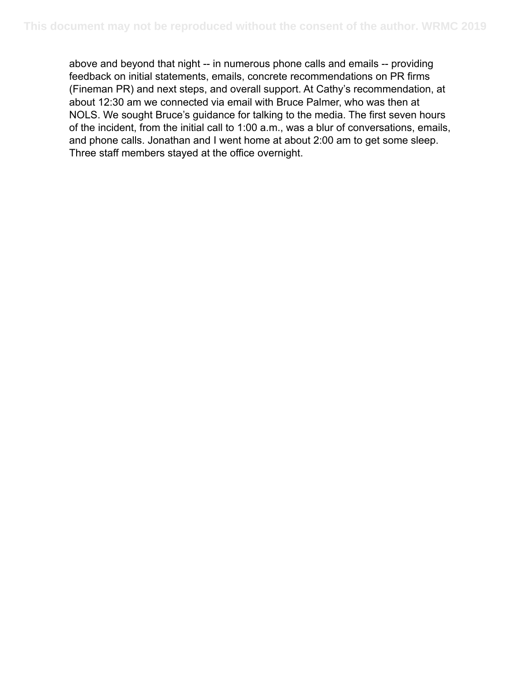above and beyond that night -- in numerous phone calls and emails -- providing feedback on initial statements, emails, concrete recommendations on PR firms (Fineman PR) and next steps, and overall support. At Cathy's recommendation, at about 12:30 am we connected via email with Bruce Palmer, who was then at NOLS. We sought Bruce's guidance for talking to the media. The first seven hours of the incident, from the initial call to 1:00 a.m., was a blur of conversations, emails, and phone calls. Jonathan and I went home at about 2:00 am to get some sleep. Three staff members stayed at the office overnight.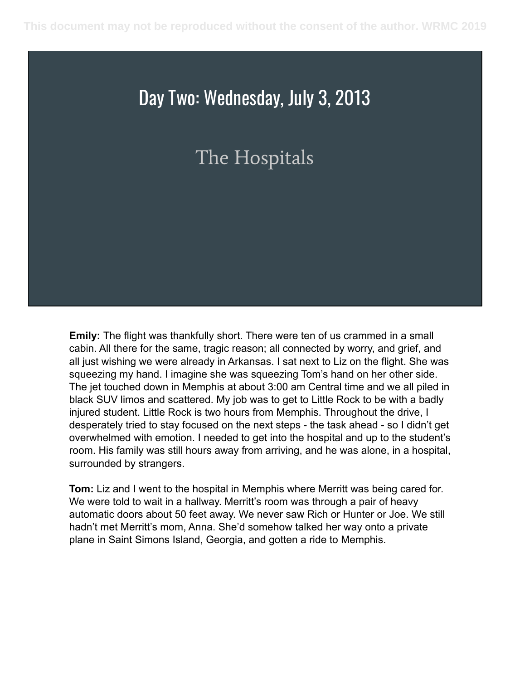#### The Hospitals

**Emily:** The flight was thankfully short. There were ten of us crammed in a small cabin. All there for the same, tragic reason; all connected by worry, and grief, and all just wishing we were already in Arkansas. I sat next to Liz on the flight. She was squeezing my hand. I imagine she was squeezing Tom's hand on her other side. The jet touched down in Memphis at about 3:00 am Central time and we all piled in black SUV limos and scattered. My job was to get to Little Rock to be with a badly injured student. Little Rock is two hours from Memphis. Throughout the drive, I desperately tried to stay focused on the next steps - the task ahead - so I didn't get overwhelmed with emotion. I needed to get into the hospital and up to the student's room. His family was still hours away from arriving, and he was alone, in a hospital, surrounded by strangers.

**Tom:** Liz and I went to the hospital in Memphis where Merritt was being cared for. We were told to wait in a hallway. Merritt's room was through a pair of heavy automatic doors about 50 feet away. We never saw Rich or Hunter or Joe. We still hadn't met Merritt's mom, Anna. She'd somehow talked her way onto a private plane in Saint Simons Island, Georgia, and gotten a ride to Memphis.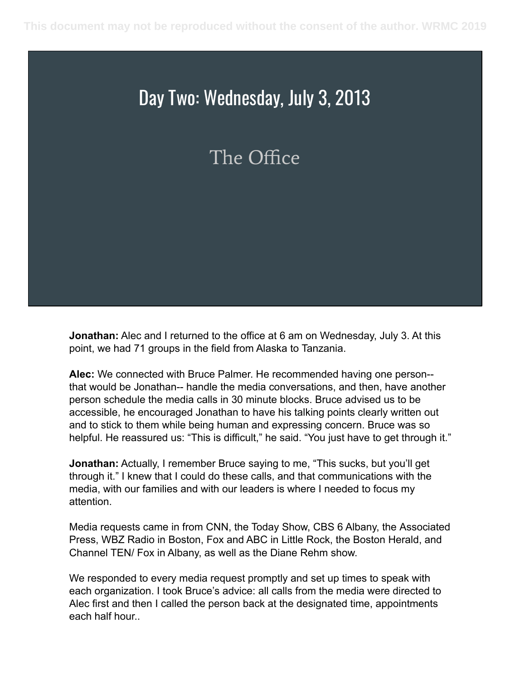#### The Office

**Jonathan:** Alec and I returned to the office at 6 am on Wednesday, July 3. At this point, we had 71 groups in the field from Alaska to Tanzania.

**Alec:** We connected with Bruce Palmer. He recommended having one person- that would be Jonathan-- handle the media conversations, and then, have another person schedule the media calls in 30 minute blocks. Bruce advised us to be accessible, he encouraged Jonathan to have his talking points clearly written out and to stick to them while being human and expressing concern. Bruce was so helpful. He reassured us: "This is difficult," he said. "You just have to get through it."

**Jonathan:** Actually, I remember Bruce saying to me, "This sucks, but you'll get through it." I knew that I could do these calls, and that communications with the media, with our families and with our leaders is where I needed to focus my attention.

Media requests came in from CNN, the Today Show, CBS 6 Albany, the Associated Press, WBZ Radio in Boston, Fox and ABC in Little Rock, the Boston Herald, and Channel TEN/ Fox in Albany, as well as the Diane Rehm show.

We responded to every media request promptly and set up times to speak with each organization. I took Bruce's advice: all calls from the media were directed to Alec first and then I called the person back at the designated time, appointments each half hour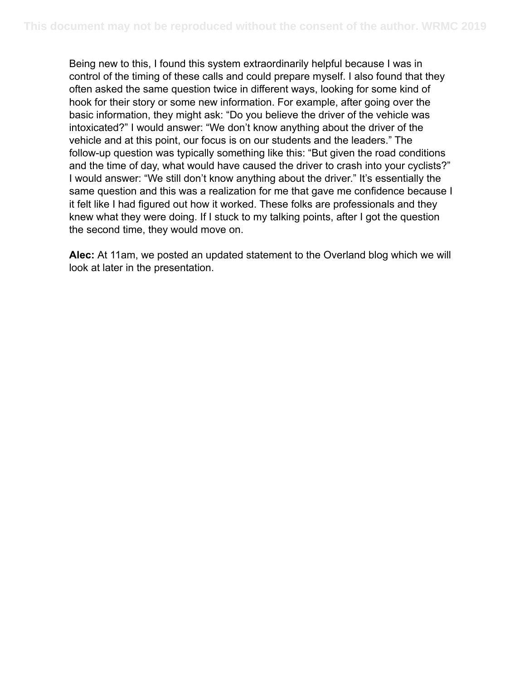Being new to this, I found this system extraordinarily helpful because I was in control of the timing of these calls and could prepare myself. I also found that they often asked the same question twice in different ways, looking for some kind of hook for their story or some new information. For example, after going over the basic information, they might ask: "Do you believe the driver of the vehicle was intoxicated?" I would answer: "We don't know anything about the driver of the vehicle and at this point, our focus is on our students and the leaders." The follow-up question was typically something like this: "But given the road conditions and the time of day, what would have caused the driver to crash into your cyclists?" I would answer: "We still don't know anything about the driver." It's essentially the same question and this was a realization for me that gave me confidence because I it felt like I had figured out how it worked. These folks are professionals and they knew what they were doing. If I stuck to my talking points, after I got the question the second time, they would move on.

**Alec:** At 11am, we posted an updated statement to the Overland blog which we will look at later in the presentation.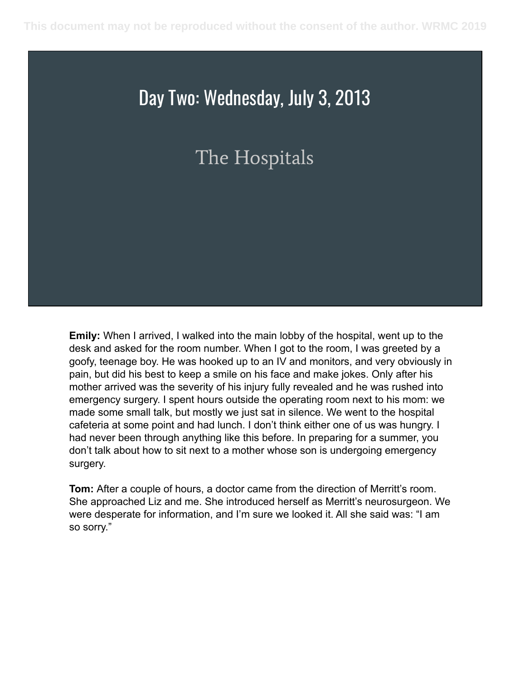#### The Hospitals

**Emily:** When I arrived, I walked into the main lobby of the hospital, went up to the desk and asked for the room number. When I got to the room, I was greeted by a goofy, teenage boy. He was hooked up to an IV and monitors, and very obviously in pain, but did his best to keep a smile on his face and make jokes. Only after his mother arrived was the severity of his injury fully revealed and he was rushed into emergency surgery. I spent hours outside the operating room next to his mom: we made some small talk, but mostly we just sat in silence. We went to the hospital cafeteria at some point and had lunch. I don't think either one of us was hungry. I had never been through anything like this before. In preparing for a summer, you don't talk about how to sit next to a mother whose son is undergoing emergency surgery.

**Tom:** After a couple of hours, a doctor came from the direction of Merritt's room. She approached Liz and me. She introduced herself as Merritt's neurosurgeon. We were desperate for information, and I'm sure we looked it. All she said was: "I am so sorry."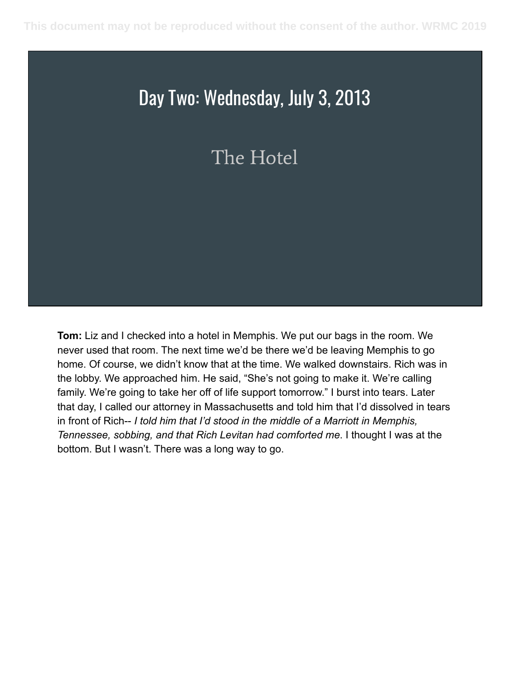#### The Hotel

**Tom:** Liz and I checked into a hotel in Memphis. We put our bags in the room. We never used that room. The next time we'd be there we'd be leaving Memphis to go home. Of course, we didn't know that at the time. We walked downstairs. Rich was in the lobby. We approached him. He said, "She's not going to make it. We're calling family. We're going to take her off of life support tomorrow." I burst into tears. Later that day, I called our attorney in Massachusetts and told him that I'd dissolved in tears in front of Rich-- *I told him that I'd stood in the middle of a Marriott in Memphis, Tennessee, sobbing, and that Rich Levitan had comforted me*. I thought I was at the bottom. But I wasn't. There was a long way to go.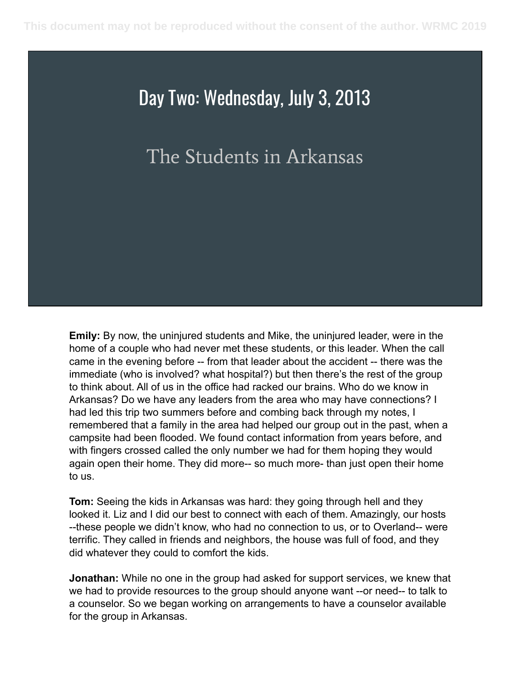#### The Students in Arkansas

**Emily:** By now, the uninjured students and Mike, the uninjured leader, were in the home of a couple who had never met these students, or this leader. When the call came in the evening before -- from that leader about the accident -- there was the immediate (who is involved? what hospital?) but then there's the rest of the group to think about. All of us in the office had racked our brains. Who do we know in Arkansas? Do we have any leaders from the area who may have connections? I had led this trip two summers before and combing back through my notes, I remembered that a family in the area had helped our group out in the past, when a campsite had been flooded. We found contact information from years before, and with fingers crossed called the only number we had for them hoping they would again open their home. They did more-- so much more- than just open their home to us.

**Tom:** Seeing the kids in Arkansas was hard: they going through hell and they looked it. Liz and I did our best to connect with each of them. Amazingly, our hosts --these people we didn't know, who had no connection to us, or to Overland-- were terrific. They called in friends and neighbors, the house was full of food, and they did whatever they could to comfort the kids.

**Jonathan:** While no one in the group had asked for support services, we knew that we had to provide resources to the group should anyone want --or need-- to talk to a counselor. So we began working on arrangements to have a counselor available for the group in Arkansas.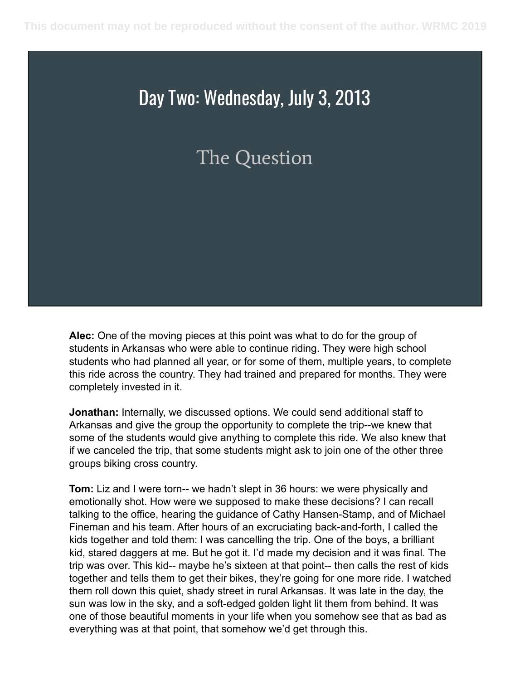#### The Question

**Alec:** One of the moving pieces at this point was what to do for the group of students in Arkansas who were able to continue riding. They were high school students who had planned all year, or for some of them, multiple years, to complete this ride across the country. They had trained and prepared for months. They were completely invested in it.

**Jonathan:** Internally, we discussed options. We could send additional staff to Arkansas and give the group the opportunity to complete the trip--we knew that some of the students would give anything to complete this ride. We also knew that if we canceled the trip, that some students might ask to join one of the other three groups biking cross country.

**Tom:** Liz and I were torn-- we hadn't slept in 36 hours: we were physically and emotionally shot. How were we supposed to make these decisions? I can recall talking to the office, hearing the guidance of Cathy Hansen-Stamp, and of Michael Fineman and his team. After hours of an excruciating back-and-forth, I called the kids together and told them: I was cancelling the trip. One of the boys, a brilliant kid, stared daggers at me. But he got it. I'd made my decision and it was final. The trip was over. This kid-- maybe he's sixteen at that point-- then calls the rest of kids together and tells them to get their bikes, they're going for one more ride. I watched them roll down this quiet, shady street in rural Arkansas. It was late in the day, the sun was low in the sky, and a soft-edged golden light lit them from behind. It was one of those beautiful moments in your life when you somehow see that as bad as everything was at that point, that somehow we'd get through this.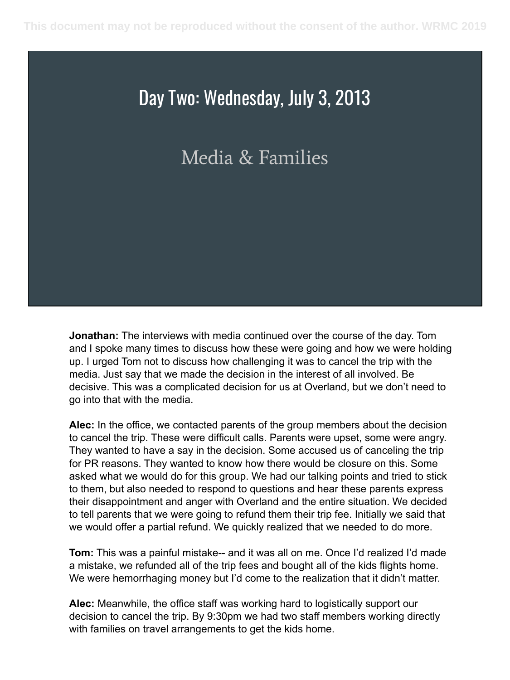#### Media & Families

**Jonathan:** The interviews with media continued over the course of the day. Tom and I spoke many times to discuss how these were going and how we were holding up. I urged Tom not to discuss how challenging it was to cancel the trip with the media. Just say that we made the decision in the interest of all involved. Be decisive. This was a complicated decision for us at Overland, but we don't need to go into that with the media.

**Alec:** In the office, we contacted parents of the group members about the decision to cancel the trip. These were difficult calls. Parents were upset, some were angry. They wanted to have a say in the decision. Some accused us of canceling the trip for PR reasons. They wanted to know how there would be closure on this. Some asked what we would do for this group. We had our talking points and tried to stick to them, but also needed to respond to questions and hear these parents express their disappointment and anger with Overland and the entire situation. We decided to tell parents that we were going to refund them their trip fee. Initially we said that we would offer a partial refund. We quickly realized that we needed to do more.

**Tom:** This was a painful mistake-- and it was all on me. Once I'd realized I'd made a mistake, we refunded all of the trip fees and bought all of the kids flights home. We were hemorrhaging money but I'd come to the realization that it didn't matter.

**Alec:** Meanwhile, the office staff was working hard to logistically support our decision to cancel the trip. By 9:30pm we had two staff members working directly with families on travel arrangements to get the kids home.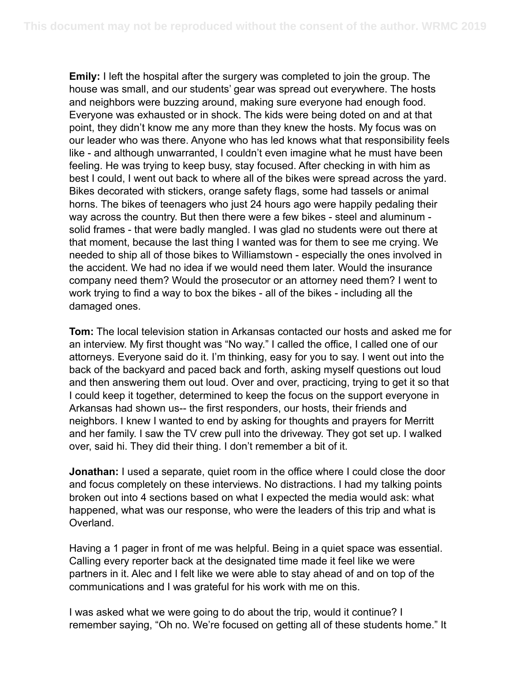**Emily:** I left the hospital after the surgery was completed to join the group. The house was small, and our students' gear was spread out everywhere. The hosts and neighbors were buzzing around, making sure everyone had enough food. Everyone was exhausted or in shock. The kids were being doted on and at that point, they didn't know me any more than they knew the hosts. My focus was on our leader who was there. Anyone who has led knows what that responsibility feels like - and although unwarranted, I couldn't even imagine what he must have been feeling. He was trying to keep busy, stay focused. After checking in with him as best I could, I went out back to where all of the bikes were spread across the yard. Bikes decorated with stickers, orange safety flags, some had tassels or animal horns. The bikes of teenagers who just 24 hours ago were happily pedaling their way across the country. But then there were a few bikes - steel and aluminum solid frames - that were badly mangled. I was glad no students were out there at that moment, because the last thing I wanted was for them to see me crying. We needed to ship all of those bikes to Williamstown - especially the ones involved in the accident. We had no idea if we would need them later. Would the insurance company need them? Would the prosecutor or an attorney need them? I went to work trying to find a way to box the bikes - all of the bikes - including all the damaged ones.

**Tom:** The local television station in Arkansas contacted our hosts and asked me for an interview. My first thought was "No way." I called the office, I called one of our attorneys. Everyone said do it. I'm thinking, easy for you to say. I went out into the back of the backyard and paced back and forth, asking myself questions out loud and then answering them out loud. Over and over, practicing, trying to get it so that I could keep it together, determined to keep the focus on the support everyone in Arkansas had shown us-- the first responders, our hosts, their friends and neighbors. I knew I wanted to end by asking for thoughts and prayers for Merritt and her family. I saw the TV crew pull into the driveway. They got set up. I walked over, said hi. They did their thing. I don't remember a bit of it.

**Jonathan:** I used a separate, quiet room in the office where I could close the door and focus completely on these interviews. No distractions. I had my talking points broken out into 4 sections based on what I expected the media would ask: what happened, what was our response, who were the leaders of this trip and what is Overland.

Having a 1 pager in front of me was helpful. Being in a quiet space was essential. Calling every reporter back at the designated time made it feel like we were partners in it. Alec and I felt like we were able to stay ahead of and on top of the communications and I was grateful for his work with me on this.

I was asked what we were going to do about the trip, would it continue? I remember saying, "Oh no. We're focused on getting all of these students home." It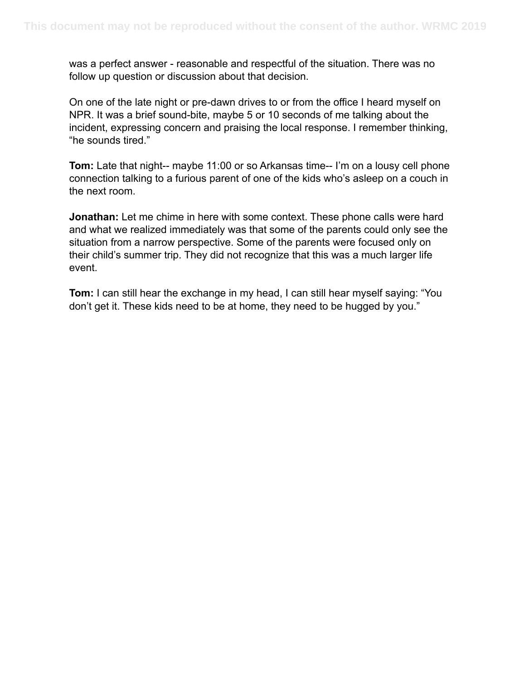was a perfect answer - reasonable and respectful of the situation. There was no follow up question or discussion about that decision.

On one of the late night or pre-dawn drives to or from the office I heard myself on NPR. It was a brief sound-bite, maybe 5 or 10 seconds of me talking about the incident, expressing concern and praising the local response. I remember thinking, "he sounds tired."

**Tom:** Late that night-- maybe 11:00 or so Arkansas time-- I'm on a lousy cell phone connection talking to a furious parent of one of the kids who's asleep on a couch in the next room.

**Jonathan:** Let me chime in here with some context. These phone calls were hard and what we realized immediately was that some of the parents could only see the situation from a narrow perspective. Some of the parents were focused only on their child's summer trip. They did not recognize that this was a much larger life event.

**Tom:** I can still hear the exchange in my head, I can still hear myself saying: "You don't get it. These kids need to be at home, they need to be hugged by you."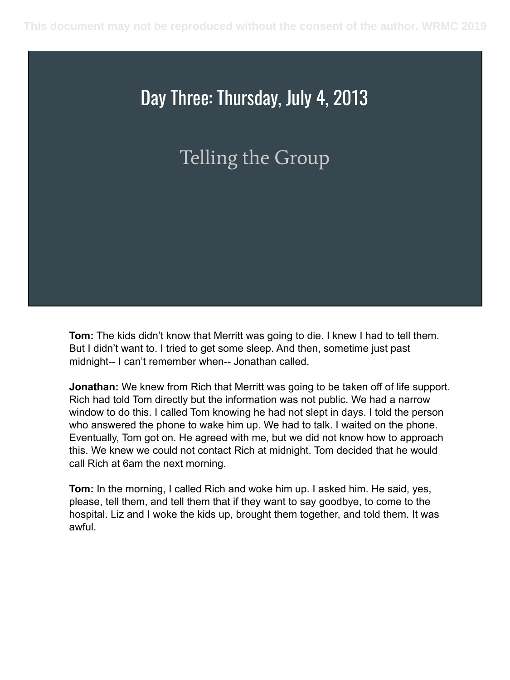#### Day Three: Thursday, July 4, 2013

### Telling the Group

**Tom:** The kids didn't know that Merritt was going to die. I knew I had to tell them. But I didn't want to. I tried to get some sleep. And then, sometime just past midnight-- I can't remember when-- Jonathan called.

**Jonathan:** We knew from Rich that Merritt was going to be taken off of life support. Rich had told Tom directly but the information was not public. We had a narrow window to do this. I called Tom knowing he had not slept in days. I told the person who answered the phone to wake him up. We had to talk. I waited on the phone. Eventually, Tom got on. He agreed with me, but we did not know how to approach this. We knew we could not contact Rich at midnight. Tom decided that he would call Rich at 6am the next morning.

**Tom:** In the morning, I called Rich and woke him up. I asked him. He said, yes, please, tell them, and tell them that if they want to say goodbye, to come to the hospital. Liz and I woke the kids up, brought them together, and told them. It was awful.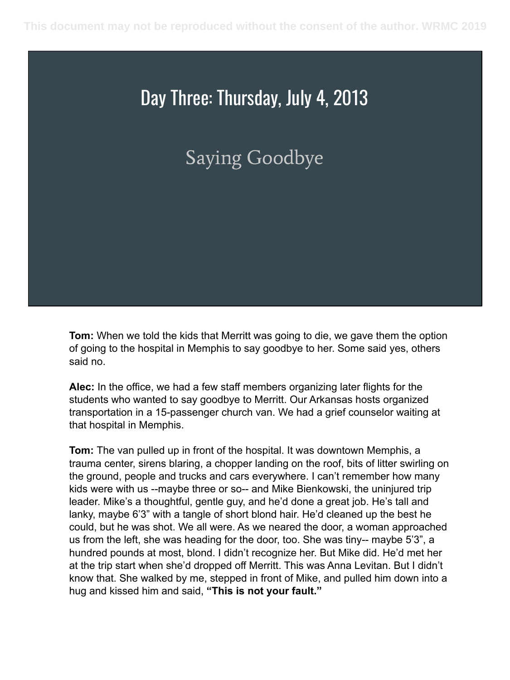#### Day Three: Thursday, July 4, 2013

#### Saying Goodbye

**Tom:** When we told the kids that Merritt was going to die, we gave them the option of going to the hospital in Memphis to say goodbye to her. Some said yes, others said no.

**Alec:** In the office, we had a few staff members organizing later flights for the students who wanted to say goodbye to Merritt. Our Arkansas hosts organized transportation in a 15-passenger church van. We had a grief counselor waiting at that hospital in Memphis.

**Tom:** The van pulled up in front of the hospital. It was downtown Memphis, a trauma center, sirens blaring, a chopper landing on the roof, bits of litter swirling on the ground, people and trucks and cars everywhere. I can't remember how many kids were with us --maybe three or so-- and Mike Bienkowski, the uninjured trip leader. Mike's a thoughtful, gentle guy, and he'd done a great job. He's tall and lanky, maybe 6'3" with a tangle of short blond hair. He'd cleaned up the best he could, but he was shot. We all were. As we neared the door, a woman approached us from the left, she was heading for the door, too. She was tiny-- maybe 5'3", a hundred pounds at most, blond. I didn't recognize her. But Mike did. He'd met her at the trip start when she'd dropped off Merritt. This was Anna Levitan. But I didn't know that. She walked by me, stepped in front of Mike, and pulled him down into a hug and kissed him and said, **"This is not your fault."**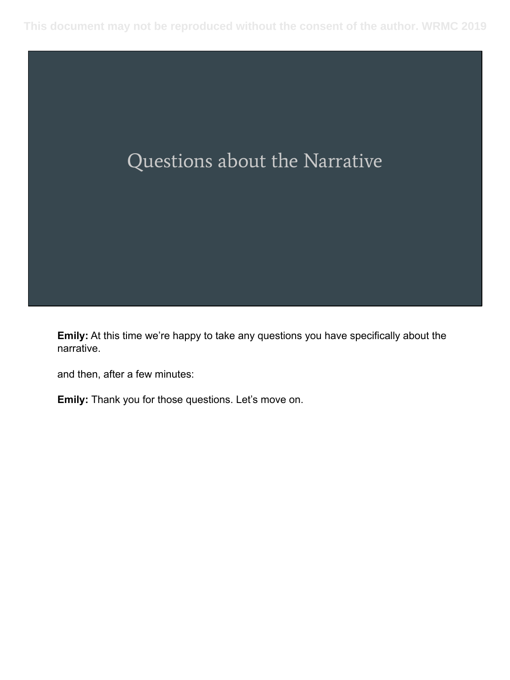

**Emily:** At this time we're happy to take any questions you have specifically about the narrative.

and then, after a few minutes:

**Emily:** Thank you for those questions. Let's move on.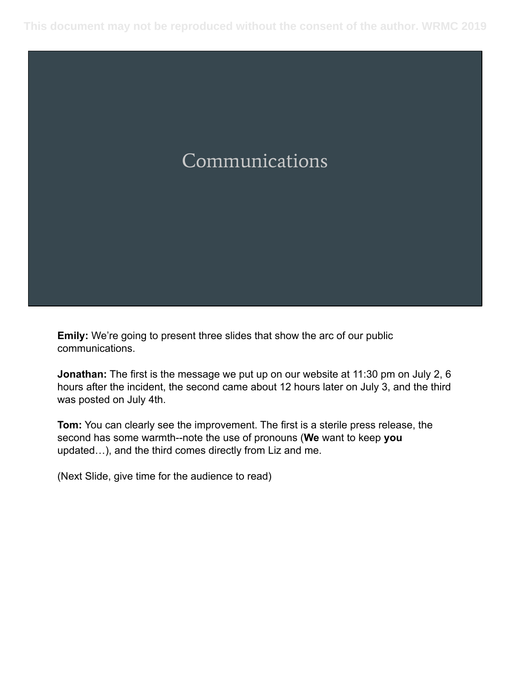#### Communications

**Emily:** We're going to present three slides that show the arc of our public communications.

**Jonathan:** The first is the message we put up on our website at 11:30 pm on July 2, 6 hours after the incident, the second came about 12 hours later on July 3, and the third was posted on July 4th.

**Tom:** You can clearly see the improvement. The first is a sterile press release, the second has some warmth--note the use of pronouns (**We** want to keep **you**  updated…), and the third comes directly from Liz and me.

(Next Slide, give time for the audience to read)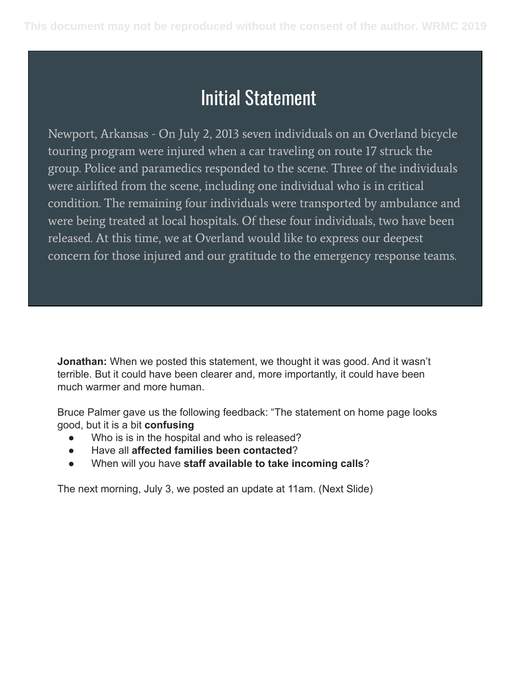#### Initial Statement

Newport, Arkansas - On July 2, 2013 seven individuals on an Overland bicycle touring program were injured when a car traveling on route 17 struck the group. Police and paramedics responded to the scene. Three of the individuals were airlifted from the scene, including one individual who is in critical condition. The remaining four individuals were transported by ambulance and were being treated at local hospitals. Of these four individuals, two have been released. At this time, we at Overland would like to express our deepest concern for those injured and our gratitude to the emergency response teams.

**Jonathan:** When we posted this statement, we thought it was good. And it wasn't terrible. But it could have been clearer and, more importantly, it could have been much warmer and more human.

Bruce Palmer gave us the following feedback: "The statement on home page looks good, but it is a bit **confusing**

- Who is is in the hospital and who is released?
- Have all **affected families been contacted**?
- When will you have **staff available to take incoming calls**?

The next morning, July 3, we posted an update at 11am. (Next Slide)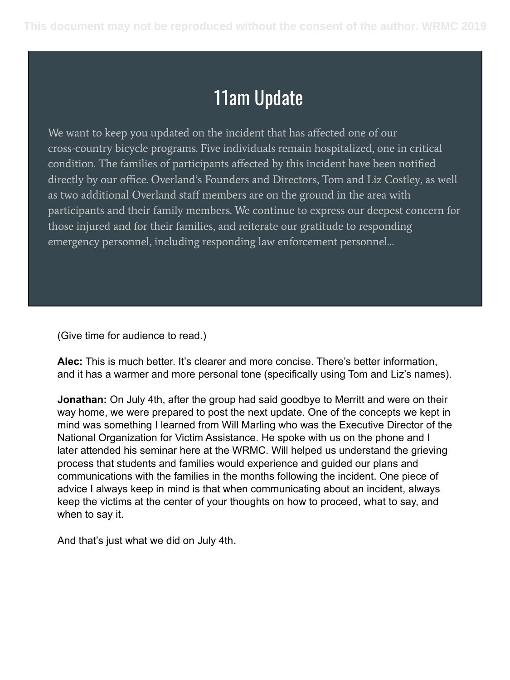#### 11am Update

We want to keep you updated on the incident that has affected one of our cross-country bicycle programs. Five individuals remain hospitalized, one in critical condition. The families of participants affected by this incident have been notified directly by our office. Overland's Founders and Directors, Tom and Liz Costley, as well as two additional Overland staff members are on the ground in the area with participants and their family members. We continue to express our deepest concern for those injured and for their families, and reiterate our gratitude to responding emergency personnel, including responding law enforcement personnel…

(Give time for audience to read.)

**Alec:** This is much better. It's clearer and more concise. There's better information, and it has a warmer and more personal tone (specifically using Tom and Liz's names).

**Jonathan:** On July 4th, after the group had said goodbye to Merritt and were on their way home, we were prepared to post the next update. One of the concepts we kept in mind was something I learned from Will Marling who was the Executive Director of the National Organization for Victim Assistance. He spoke with us on the phone and I later attended his seminar here at the WRMC. Will helped us understand the grieving process that students and families would experience and guided our plans and communications with the families in the months following the incident. One piece of advice I always keep in mind is that when communicating about an incident, always keep the victims at the center of your thoughts on how to proceed, what to say, and when to say it.

And that's just what we did on July 4th.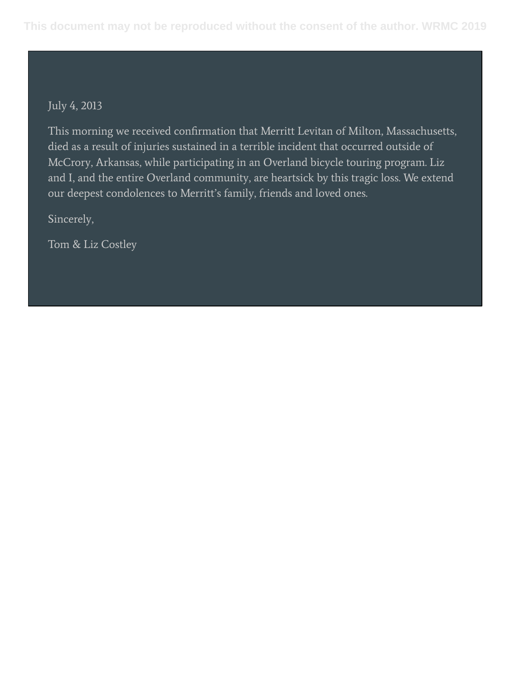#### July 4, 2013

This morning we received confirmation that Merritt Levitan of Milton, Massachusetts, died as a result of injuries sustained in a terrible incident that occurred outside of McCrory, Arkansas, while participating in an Overland bicycle touring program. Liz and I, and the entire Overland community, are heartsick by this tragic loss. We extend our deepest condolences to Merritt's family, friends and loved ones.

Sincerely,

Tom & Liz Costley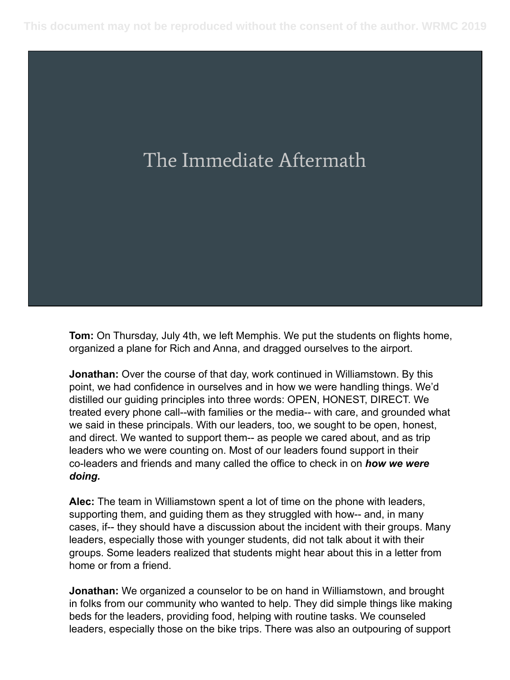### The Immediate Aftermath

**Tom:** On Thursday, July 4th, we left Memphis. We put the students on flights home, organized a plane for Rich and Anna, and dragged ourselves to the airport.

**Jonathan:** Over the course of that day, work continued in Williamstown. By this point, we had confidence in ourselves and in how we were handling things. We'd distilled our guiding principles into three words: OPEN, HONEST, DIRECT. We treated every phone call--with families or the media-- with care, and grounded what we said in these principals. With our leaders, too, we sought to be open, honest, and direct. We wanted to support them-- as people we cared about, and as trip leaders who we were counting on. Most of our leaders found support in their co-leaders and friends and many called the office to check in on *how we were doing.*

**Alec:** The team in Williamstown spent a lot of time on the phone with leaders, supporting them, and guiding them as they struggled with how-- and, in many cases, if-- they should have a discussion about the incident with their groups. Many leaders, especially those with younger students, did not talk about it with their groups. Some leaders realized that students might hear about this in a letter from home or from a friend.

**Jonathan:** We organized a counselor to be on hand in Williamstown, and brought in folks from our community who wanted to help. They did simple things like making beds for the leaders, providing food, helping with routine tasks. We counseled leaders, especially those on the bike trips. There was also an outpouring of support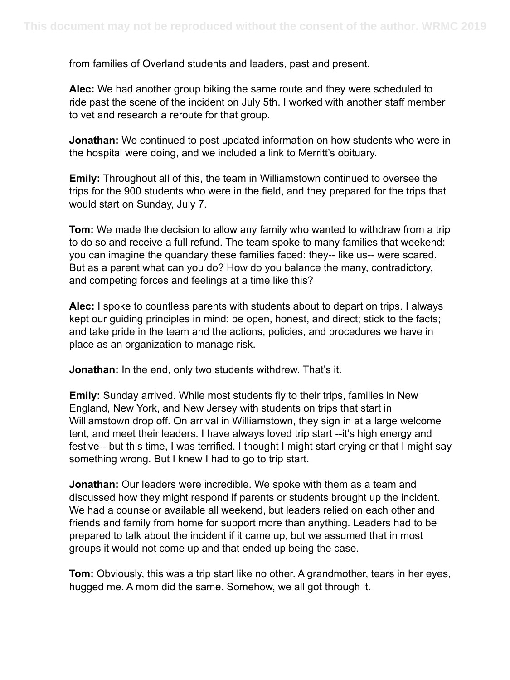from families of Overland students and leaders, past and present.

**Alec:** We had another group biking the same route and they were scheduled to ride past the scene of the incident on July 5th. I worked with another staff member to vet and research a reroute for that group.

**Jonathan:** We continued to post updated information on how students who were in the hospital were doing, and we included a link to Merritt's obituary.

**Emily:** Throughout all of this, the team in Williamstown continued to oversee the trips for the 900 students who were in the field, and they prepared for the trips that would start on Sunday, July 7.

**Tom:** We made the decision to allow any family who wanted to withdraw from a trip to do so and receive a full refund. The team spoke to many families that weekend: you can imagine the quandary these families faced: they-- like us-- were scared. But as a parent what can you do? How do you balance the many, contradictory, and competing forces and feelings at a time like this?

**Alec:** I spoke to countless parents with students about to depart on trips. I always kept our guiding principles in mind: be open, honest, and direct; stick to the facts; and take pride in the team and the actions, policies, and procedures we have in place as an organization to manage risk.

**Jonathan:** In the end, only two students withdrew. That's it.

**Emily:** Sunday arrived. While most students fly to their trips, families in New England, New York, and New Jersey with students on trips that start in Williamstown drop off. On arrival in Williamstown, they sign in at a large welcome tent, and meet their leaders. I have always loved trip start --it's high energy and festive-- but this time, I was terrified. I thought I might start crying or that I might say something wrong. But I knew I had to go to trip start.

**Jonathan:** Our leaders were incredible. We spoke with them as a team and discussed how they might respond if parents or students brought up the incident. We had a counselor available all weekend, but leaders relied on each other and friends and family from home for support more than anything. Leaders had to be prepared to talk about the incident if it came up, but we assumed that in most groups it would not come up and that ended up being the case.

**Tom:** Obviously, this was a trip start like no other. A grandmother, tears in her eyes, hugged me. A mom did the same. Somehow, we all got through it.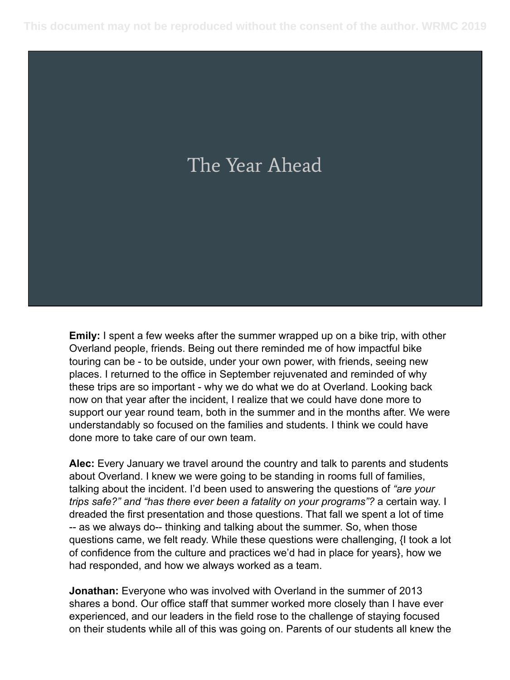## The Year Ahead

**Emily:** I spent a few weeks after the summer wrapped up on a bike trip, with other Overland people, friends. Being out there reminded me of how impactful bike touring can be - to be outside, under your own power, with friends, seeing new places. I returned to the office in September rejuvenated and reminded of why these trips are so important - why we do what we do at Overland. Looking back now on that year after the incident, I realize that we could have done more to support our year round team, both in the summer and in the months after. We were understandably so focused on the families and students. I think we could have done more to take care of our own team.

**Alec:** Every January we travel around the country and talk to parents and students about Overland. I knew we were going to be standing in rooms full of families, talking about the incident. I'd been used to answering the questions of *"are your trips safe?" and "has there ever been a fatality on your programs"?* a certain way. I dreaded the first presentation and those questions. That fall we spent a lot of time -- as we always do-- thinking and talking about the summer. So, when those questions came, we felt ready. While these questions were challenging, {I took a lot of confidence from the culture and practices we'd had in place for years}, how we had responded, and how we always worked as a team.

**Jonathan:** Everyone who was involved with Overland in the summer of 2013 shares a bond. Our office staff that summer worked more closely than I have ever experienced, and our leaders in the field rose to the challenge of staying focused on their students while all of this was going on. Parents of our students all knew the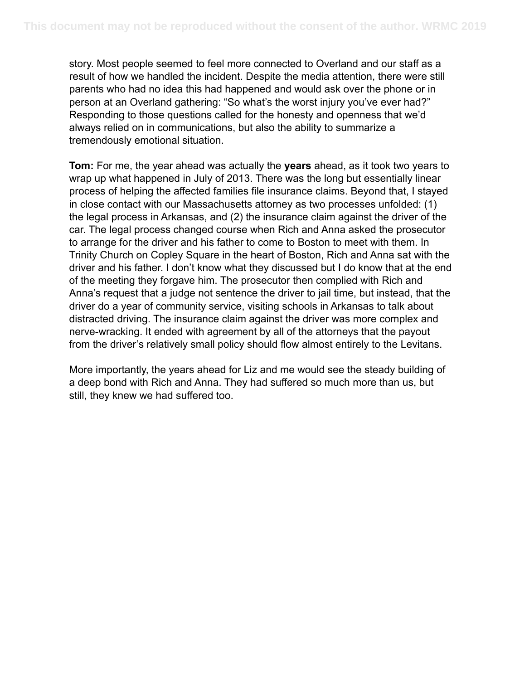story. Most people seemed to feel more connected to Overland and our staff as a result of how we handled the incident. Despite the media attention, there were still parents who had no idea this had happened and would ask over the phone or in person at an Overland gathering: "So what's the worst injury you've ever had?" Responding to those questions called for the honesty and openness that we'd always relied on in communications, but also the ability to summarize a tremendously emotional situation.

**Tom:** For me, the year ahead was actually the **years** ahead, as it took two years to wrap up what happened in July of 2013. There was the long but essentially linear process of helping the affected families file insurance claims. Beyond that, I stayed in close contact with our Massachusetts attorney as two processes unfolded: (1) the legal process in Arkansas, and (2) the insurance claim against the driver of the car. The legal process changed course when Rich and Anna asked the prosecutor to arrange for the driver and his father to come to Boston to meet with them. In Trinity Church on Copley Square in the heart of Boston, Rich and Anna sat with the driver and his father. I don't know what they discussed but I do know that at the end of the meeting they forgave him. The prosecutor then complied with Rich and Anna's request that a judge not sentence the driver to jail time, but instead, that the driver do a year of community service, visiting schools in Arkansas to talk about distracted driving. The insurance claim against the driver was more complex and nerve-wracking. It ended with agreement by all of the attorneys that the payout from the driver's relatively small policy should flow almost entirely to the Levitans.

More importantly, the years ahead for Liz and me would see the steady building of a deep bond with Rich and Anna. They had suffered so much more than us, but still, they knew we had suffered too.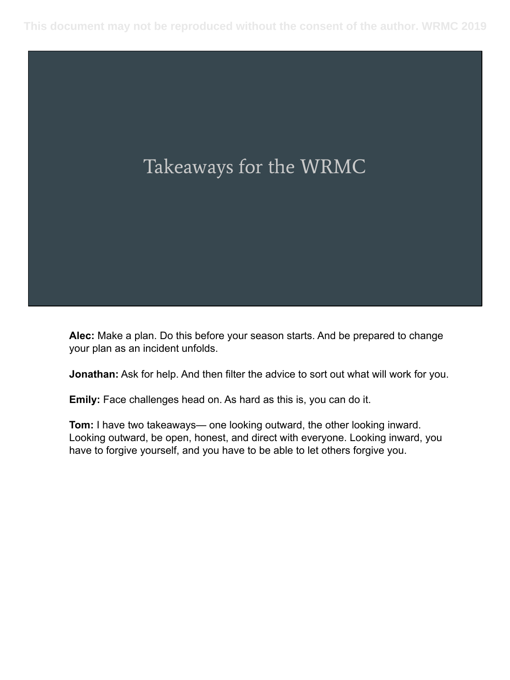

**Alec:** Make a plan. Do this before your season starts. And be prepared to change your plan as an incident unfolds.

**Jonathan:** Ask for help. And then filter the advice to sort out what will work for you.

**Emily:** Face challenges head on. As hard as this is, you can do it.

**Tom:** I have two takeaways— one looking outward, the other looking inward. Looking outward, be open, honest, and direct with everyone. Looking inward, you have to forgive yourself, and you have to be able to let others forgive you.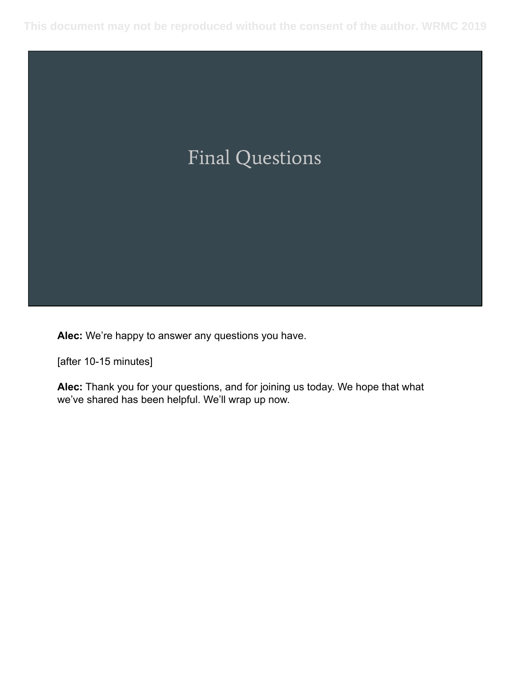

**Alec:** We're happy to answer any questions you have.

[after 10-15 minutes]

**Alec:** Thank you for your questions, and for joining us today. We hope that what we've shared has been helpful. We'll wrap up now.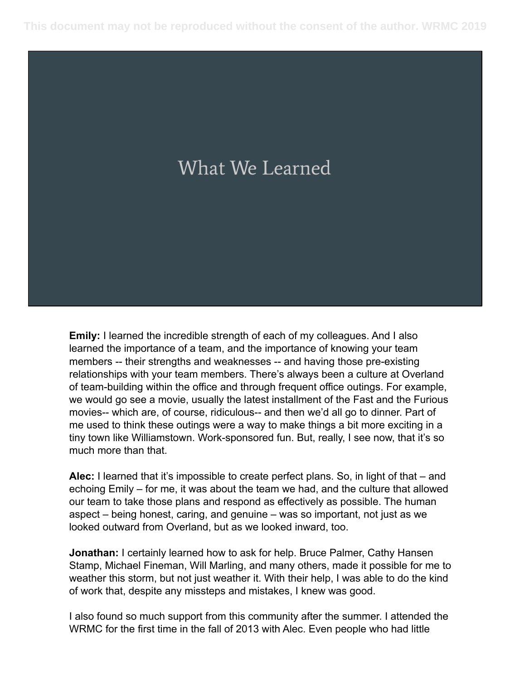# What We Learned

**Emily:** I learned the incredible strength of each of my colleagues. And I also learned the importance of a team, and the importance of knowing your team members -- their strengths and weaknesses -- and having those pre-existing relationships with your team members. There's always been a culture at Overland of team-building within the office and through frequent office outings. For example, we would go see a movie, usually the latest installment of the Fast and the Furious movies-- which are, of course, ridiculous-- and then we'd all go to dinner. Part of me used to think these outings were a way to make things a bit more exciting in a tiny town like Williamstown. Work-sponsored fun. But, really, I see now, that it's so much more than that.

**Alec:** I learned that it's impossible to create perfect plans. So, in light of that – and echoing Emily – for me, it was about the team we had, and the culture that allowed our team to take those plans and respond as effectively as possible. The human aspect – being honest, caring, and genuine – was so important, not just as we looked outward from Overland, but as we looked inward, too.

**Jonathan:** I certainly learned how to ask for help. Bruce Palmer, Cathy Hansen Stamp, Michael Fineman, Will Marling, and many others, made it possible for me to weather this storm, but not just weather it. With their help, I was able to do the kind of work that, despite any missteps and mistakes, I knew was good.

I also found so much support from this community after the summer. I attended the WRMC for the first time in the fall of 2013 with Alec. Even people who had little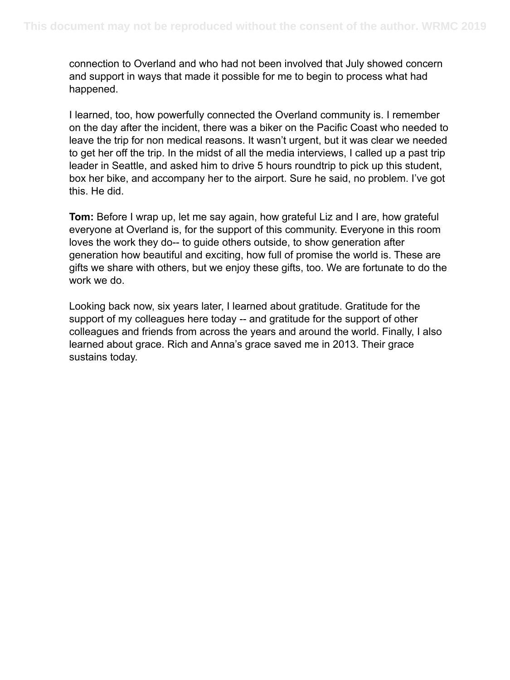connection to Overland and who had not been involved that July showed concern and support in ways that made it possible for me to begin to process what had happened.

I learned, too, how powerfully connected the Overland community is. I remember on the day after the incident, there was a biker on the Pacific Coast who needed to leave the trip for non medical reasons. It wasn't urgent, but it was clear we needed to get her off the trip. In the midst of all the media interviews, I called up a past trip leader in Seattle, and asked him to drive 5 hours roundtrip to pick up this student, box her bike, and accompany her to the airport. Sure he said, no problem. I've got this. He did.

**Tom:** Before I wrap up, let me say again, how grateful Liz and I are, how grateful everyone at Overland is, for the support of this community. Everyone in this room loves the work they do-- to guide others outside, to show generation after generation how beautiful and exciting, how full of promise the world is. These are gifts we share with others, but we enjoy these gifts, too. We are fortunate to do the work we do.

Looking back now, six years later, I learned about gratitude. Gratitude for the support of my colleagues here today -- and gratitude for the support of other colleagues and friends from across the years and around the world. Finally, I also learned about grace. Rich and Anna's grace saved me in 2013. Their grace sustains today.